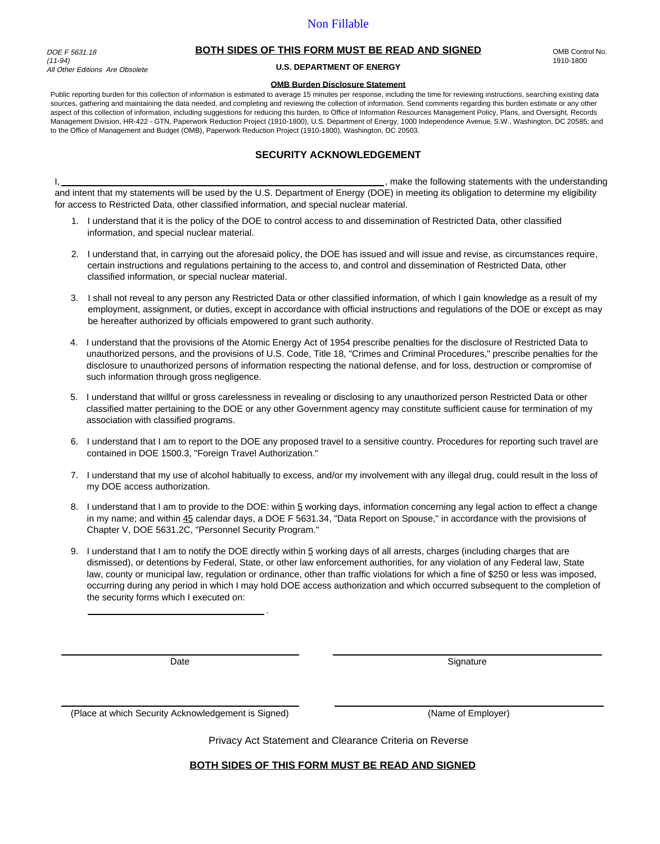DOE F 5631.18 (11-94) All Other Editions Are Obsolete

### **BOTH SIDES OF THIS FORM MUST BE READ AND SIGNED**

**U.S. DEPARTMENT OF ENERGY**

#### **OMB Burden Disclosure Statement**

Public reporting burden for this collection of information is estimated to average 15 minutes per response, including the time for reviewing instructions, searching existing data sources, gathering and maintaining the data needed, and completing and reviewing the collection of information. Send comments regarding this burden estimate or any other aspect of this collection of information, including suggestions for reducing this burden, to Office of Information Resources Management Policy, Plans, and Oversight, Records Management Division, HR-422 - GTN, Paperwork Reduction Project (1910-1800), U.S. Department of Energy, 1000 Independence Avenue, S.W., Washington, DC 20585; and to the Office of Management and Budget (OMB), Paperwork Reduction Project (1910-1800), Washington, DC 20503.

## **SECURITY ACKNOWLEDGEMENT**

I, <u>the contract of the following</u> statements with the understanding statements with the understanding and intent that my statements will be used by the U.S. Department of Energy (DOE) in meeting its obligation to determine my eligibility for access to Restricted Data, other classified information, and special nuclear material.

- 1. I understand that it is the policy of the DOE to control access to and dissemination of Restricted Data, other classified information, and special nuclear material.
- 2. I understand that, in carrying out the aforesaid policy, the DOE has issued and will issue and revise, as circumstances require, certain instructions and regulations pertaining to the access to, and control and dissemination of Restricted Data, other classified information, or special nuclear material.
- 3. I shall not reveal to any person any Restricted Data or other classified information, of which I gain knowledge as a result of my employment, assignment, or duties, except in accordance with official instructions and regulations of the DOE or except as may be hereafter authorized by officials empowered to grant such authority.
- 4. I understand that the provisions of the Atomic Energy Act of 1954 prescribe penalties for the disclosure of Restricted Data to unauthorized persons, and the provisions of U.S. Code, Title 18, "Crimes and Criminal Procedures," prescribe penalties for the disclosure to unauthorized persons of information respecting the national defense, and for loss, destruction or compromise of such information through gross negligence.
- 5. I understand that willful or gross carelessness in revealing or disclosing to any unauthorized person Restricted Data or other classified matter pertaining to the DOE or any other Government agency may constitute sufficient cause for termination of my association with classified programs.
- 6. I understand that I am to report to the DOE any proposed travel to a sensitive country. Procedures for reporting such travel are contained in DOE 1500.3, "Foreign Travel Authorization."
- 7. I understand that my use of alcohol habitually to excess, and/or my involvement with any illegal drug, could result in the loss of my DOE access authorization.
- 8. I understand that I am to provide to the DOE: within 5 working days, information concerning any legal action to effect a change in my name; and within 45 calendar days, a DOE F 5631.34, "Data Report on Spouse," in accordance with the provisions of Chapter V, DOE 5631.2C, "Personnel Security Program."
- 9. I understand that I am to notify the DOE directly within 5 working days of all arrests, charges (including charges that are dismissed), or detentions by Federal, State, or other law enforcement authorities, for any violation of any Federal law, State law, county or municipal law, regulation or ordinance, other than traffic violations for which a fine of \$250 or less was imposed, occurring during any period in which I may hold DOE access authorization and which occurred subsequent to the completion of the security forms which I executed on:

.

Date Signature Signature

(Place at which Security Acknowledgement is Signed) (Name of Employer)

Privacy Act Statement and Clearance Criteria on Reverse

### **BOTH SIDES OF THIS FORM MUST BE READ AND SIGNED**

OMB Control No. 1910-1800